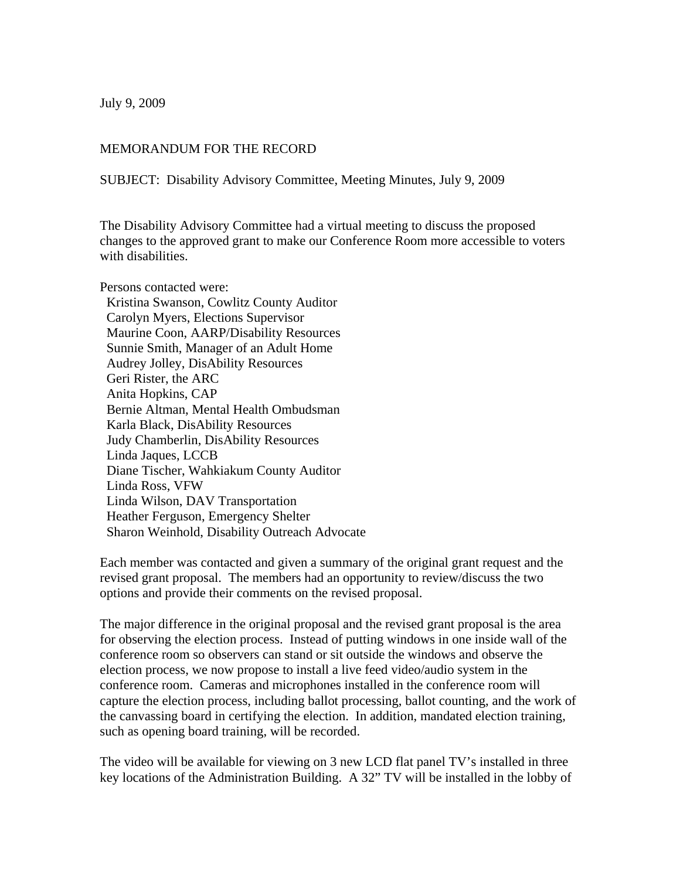July 9, 2009

## MEMORANDUM FOR THE RECORD

SUBJECT: Disability Advisory Committee, Meeting Minutes, July 9, 2009

The Disability Advisory Committee had a virtual meeting to discuss the proposed changes to the approved grant to make our Conference Room more accessible to voters with disabilities.

Persons contacted were: Kristina Swanson, Cowlitz County Auditor Carolyn Myers, Elections Supervisor Maurine Coon, AARP/Disability Resources Sunnie Smith, Manager of an Adult Home Audrey Jolley, DisAbility Resources Geri Rister, the ARC Anita Hopkins, CAP Bernie Altman, Mental Health Ombudsman Karla Black, DisAbility Resources Judy Chamberlin, DisAbility Resources Linda Jaques, LCCB Diane Tischer, Wahkiakum County Auditor Linda Ross, VFW Linda Wilson, DAV Transportation Heather Ferguson, Emergency Shelter Sharon Weinhold, Disability Outreach Advocate

Each member was contacted and given a summary of the original grant request and the revised grant proposal. The members had an opportunity to review/discuss the two options and provide their comments on the revised proposal.

The major difference in the original proposal and the revised grant proposal is the area for observing the election process. Instead of putting windows in one inside wall of the conference room so observers can stand or sit outside the windows and observe the election process, we now propose to install a live feed video/audio system in the conference room. Cameras and microphones installed in the conference room will capture the election process, including ballot processing, ballot counting, and the work of the canvassing board in certifying the election. In addition, mandated election training, such as opening board training, will be recorded.

The video will be available for viewing on 3 new LCD flat panel TV's installed in three key locations of the Administration Building. A 32" TV will be installed in the lobby of